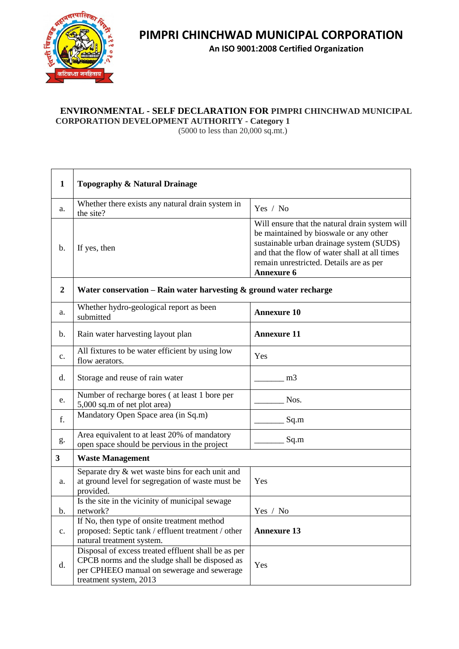

 $\Gamma$ 

┯

## **PIMPRI CHINCHWAD MUNICIPAL CORPORATION**

**An ISO 9001:2008 Certified Organization**

## **ENVIRONMENTAL - SELF DECLARATION FOR PIMPRI CHINCHWAD MUNICIPAL**

**CORPORATION DEVELOPMENT AUTHORITY - Category 1**

(5000 to less than 20,000 sq.mt.)

| $\mathbf{1}$     | Topography & Natural Drainage                                                                                                                                                 |                                                                                                                                                                                                                                                       |  |
|------------------|-------------------------------------------------------------------------------------------------------------------------------------------------------------------------------|-------------------------------------------------------------------------------------------------------------------------------------------------------------------------------------------------------------------------------------------------------|--|
| a.               | Whether there exists any natural drain system in<br>the site?                                                                                                                 | Yes / No                                                                                                                                                                                                                                              |  |
| b.               | If yes, then                                                                                                                                                                  | Will ensure that the natural drain system will<br>be maintained by bioswale or any other<br>sustainable urban drainage system (SUDS)<br>and that the flow of water shall at all times<br>remain unrestricted. Details are as per<br><b>Annexure 6</b> |  |
| $\boldsymbol{2}$ | Water conservation $-$ Rain water harvesting $\&$ ground water recharge                                                                                                       |                                                                                                                                                                                                                                                       |  |
| a.               | Whether hydro-geological report as been<br>submitted                                                                                                                          | <b>Annexure 10</b>                                                                                                                                                                                                                                    |  |
| b.               | Rain water harvesting layout plan                                                                                                                                             | <b>Annexure 11</b>                                                                                                                                                                                                                                    |  |
| c.               | All fixtures to be water efficient by using low<br>flow aerators.                                                                                                             | Yes                                                                                                                                                                                                                                                   |  |
| d.               | Storage and reuse of rain water                                                                                                                                               | m <sub>3</sub>                                                                                                                                                                                                                                        |  |
| e.               | Number of recharge bores (at least 1 bore per<br>5,000 sq.m of net plot area)                                                                                                 | Nos.                                                                                                                                                                                                                                                  |  |
| f.               | Mandatory Open Space area (in Sq.m)                                                                                                                                           | Sq.m                                                                                                                                                                                                                                                  |  |
| g.               | Area equivalent to at least 20% of mandatory<br>open space should be pervious in the project                                                                                  | Sq.m                                                                                                                                                                                                                                                  |  |
| 3                | <b>Waste Management</b>                                                                                                                                                       |                                                                                                                                                                                                                                                       |  |
| a.               | Separate dry & wet waste bins for each unit and<br>at ground level for segregation of waste must be<br>provided.                                                              | Yes                                                                                                                                                                                                                                                   |  |
|                  | Is the site in the vicinity of municipal sewage                                                                                                                               |                                                                                                                                                                                                                                                       |  |
| b.               | network?<br>If No, then type of onsite treatment method                                                                                                                       | Yes / No                                                                                                                                                                                                                                              |  |
| c.               | proposed: Septic tank / effluent treatment / other<br>natural treatment system.                                                                                               | <b>Annexure 13</b>                                                                                                                                                                                                                                    |  |
| d.               | Disposal of excess treated effluent shall be as per<br>CPCB norms and the sludge shall be disposed as<br>per CPHEEO manual on sewerage and sewerage<br>treatment system, 2013 | Yes                                                                                                                                                                                                                                                   |  |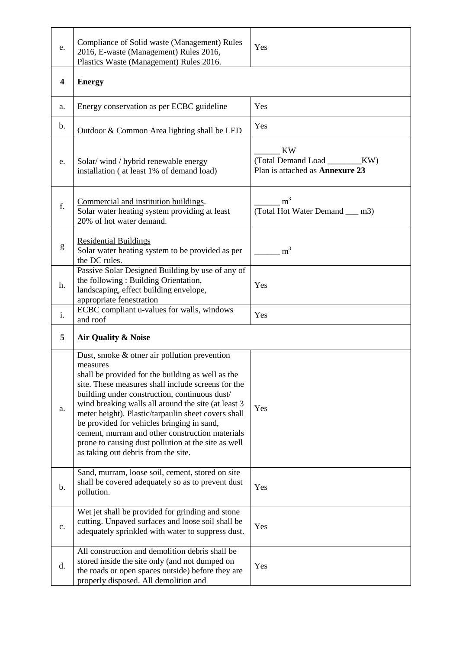| e.                      | Compliance of Solid waste (Management) Rules<br>2016, E-waste (Management) Rules 2016,<br>Plastics Waste (Management) Rules 2016.                                                                                                                                                                                                                                                                                                                                                                                                 | Yes                                                                                    |
|-------------------------|-----------------------------------------------------------------------------------------------------------------------------------------------------------------------------------------------------------------------------------------------------------------------------------------------------------------------------------------------------------------------------------------------------------------------------------------------------------------------------------------------------------------------------------|----------------------------------------------------------------------------------------|
| $\overline{\mathbf{4}}$ | <b>Energy</b>                                                                                                                                                                                                                                                                                                                                                                                                                                                                                                                     |                                                                                        |
| a.                      | Energy conservation as per ECBC guideline                                                                                                                                                                                                                                                                                                                                                                                                                                                                                         | Yes                                                                                    |
| b.                      | Outdoor & Common Area lighting shall be LED                                                                                                                                                                                                                                                                                                                                                                                                                                                                                       | Yes                                                                                    |
| e.                      | Solar/wind/hybrid renewable energy<br>installation (at least 1% of demand load)                                                                                                                                                                                                                                                                                                                                                                                                                                                   | <b>KW</b><br>(Total Demand Load _________KW)<br>Plan is attached as <b>Annexure 23</b> |
| f.                      | Commercial and institution buildings.<br>Solar water heating system providing at least<br>20% of hot water demand.                                                                                                                                                                                                                                                                                                                                                                                                                | m <sup>3</sup><br>(Total Hot Water Demand __ m3)                                       |
| g                       | <b>Residential Buildings</b><br>Solar water heating system to be provided as per<br>the DC rules.                                                                                                                                                                                                                                                                                                                                                                                                                                 | m <sup>3</sup>                                                                         |
| h.                      | Passive Solar Designed Building by use of any of<br>the following: Building Orientation,<br>landscaping, effect building envelope,<br>appropriate fenestration                                                                                                                                                                                                                                                                                                                                                                    | Yes                                                                                    |
| i.                      | ECBC compliant u-values for walls, windows<br>and roof                                                                                                                                                                                                                                                                                                                                                                                                                                                                            | Yes                                                                                    |
| 5                       | Air Quality & Noise                                                                                                                                                                                                                                                                                                                                                                                                                                                                                                               |                                                                                        |
| a.                      | Dust, smoke & other air pollution prevention<br>measures<br>shall be provided for the building as well as the<br>site. These measures shall include screens for the<br>building under construction, continuous dust/<br>wind breaking walls all around the site (at least 3<br>meter height). Plastic/tarpaulin sheet covers shall<br>be provided for vehicles bringing in sand,<br>cement, murram and other construction materials<br>prone to causing dust pollution at the site as well<br>as taking out debris from the site. | Yes                                                                                    |
| b.                      | Sand, murram, loose soil, cement, stored on site<br>shall be covered adequately so as to prevent dust<br>pollution.                                                                                                                                                                                                                                                                                                                                                                                                               | Yes                                                                                    |
| c.                      | Wet jet shall be provided for grinding and stone<br>cutting. Unpaved surfaces and loose soil shall be<br>adequately sprinkled with water to suppress dust.                                                                                                                                                                                                                                                                                                                                                                        | Yes                                                                                    |
| d.                      | All construction and demolition debris shall be<br>stored inside the site only (and not dumped on<br>the roads or open spaces outside) before they are<br>properly disposed. All demolition and                                                                                                                                                                                                                                                                                                                                   | Yes                                                                                    |